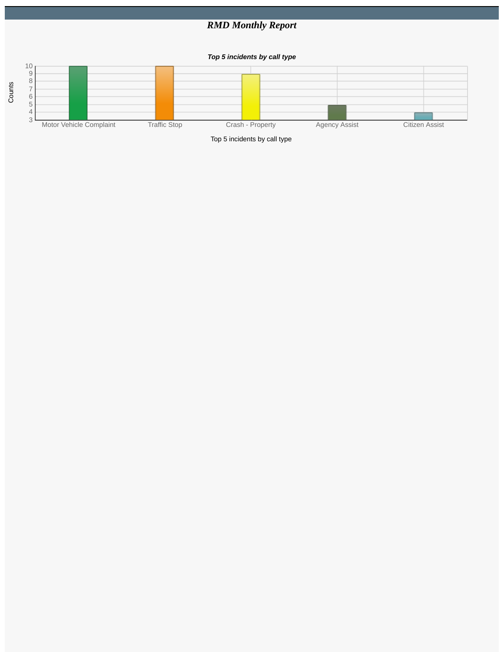## *RMD Monthly Report*

*Top 5 incidents by call type*



Top 5 incidents by call type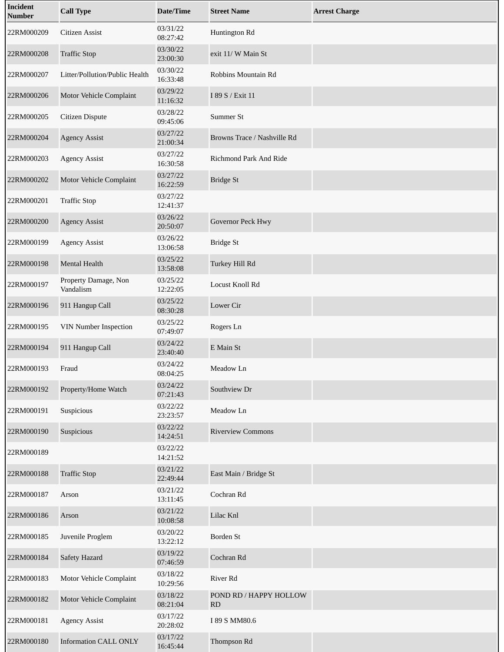| Incident<br><b>Number</b> | <b>Call Type</b>                  | <b>Date/Time</b>     | <b>Street Name</b>           | <b>Arrest Charge</b> |
|---------------------------|-----------------------------------|----------------------|------------------------------|----------------------|
| 22RM000209                | Citizen Assist                    | 03/31/22<br>08:27:42 | Huntington Rd                |                      |
| 22RM000208                | <b>Traffic Stop</b>               | 03/30/22<br>23:00:30 | exit 11/ W Main St           |                      |
| 22RM000207                | Litter/Pollution/Public Health    | 03/30/22<br>16:33:48 | Robbins Mountain Rd          |                      |
| 22RM000206                | Motor Vehicle Complaint           | 03/29/22<br>11:16:32 | I 89 S / Exit 11             |                      |
| 22RM000205                | <b>Citizen Dispute</b>            | 03/28/22<br>09:45:06 | Summer St                    |                      |
| 22RM000204                | <b>Agency Assist</b>              | 03/27/22<br>21:00:34 | Browns Trace / Nashville Rd  |                      |
| 22RM000203                | <b>Agency Assist</b>              | 03/27/22<br>16:30:58 | Richmond Park And Ride       |                      |
| 22RM000202                | Motor Vehicle Complaint           | 03/27/22<br>16:22:59 | <b>Bridge St</b>             |                      |
| 22RM000201                | <b>Traffic Stop</b>               | 03/27/22<br>12:41:37 |                              |                      |
| 22RM000200                | <b>Agency Assist</b>              | 03/26/22<br>20:50:07 | Governor Peck Hwy            |                      |
| 22RM000199                | <b>Agency Assist</b>              | 03/26/22<br>13:06:58 | <b>Bridge St</b>             |                      |
| 22RM000198                | Mental Health                     | 03/25/22<br>13:58:08 | Turkey Hill Rd               |                      |
| 22RM000197                | Property Damage, Non<br>Vandalism | 03/25/22<br>12:22:05 | Locust Knoll Rd              |                      |
| 22RM000196                | 911 Hangup Call                   | 03/25/22<br>08:30:28 | <b>Lower Cir</b>             |                      |
| 22RM000195                | VIN Number Inspection             | 03/25/22<br>07:49:07 | Rogers Ln                    |                      |
| 22RM000194                | 911 Hangup Call                   | 03/24/22<br>23:40:40 | E Main St                    |                      |
| 22RM000193                | Fraud                             | 03/24/22<br>08:04:25 | Meadow Ln                    |                      |
| 22RM000192                | Property/Home Watch               | 03/24/22<br>07:21:43 | Southview Dr                 |                      |
| 22RM000191                | Suspicious                        | 03/22/22<br>23:23:57 | Meadow Ln                    |                      |
| 22RM000190                | Suspicious                        | 03/22/22<br>14:24:51 | <b>Riverview Commons</b>     |                      |
| 22RM000189                |                                   | 03/22/22<br>14:21:52 |                              |                      |
| 22RM000188                | <b>Traffic Stop</b>               | 03/21/22<br>22:49:44 | East Main / Bridge St        |                      |
| 22RM000187                | Arson                             | 03/21/22<br>13:11:45 | Cochran Rd                   |                      |
| 22RM000186                | Arson                             | 03/21/22<br>10:08:58 | Lilac Knl                    |                      |
| 22RM000185                | Juvenile Proglem                  | 03/20/22<br>13:22:12 | Borden St                    |                      |
| 22RM000184                | <b>Safety Hazard</b>              | 03/19/22<br>07:46:59 | Cochran Rd                   |                      |
| 22RM000183                | Motor Vehicle Complaint           | 03/18/22<br>10:29:56 | River Rd                     |                      |
| 22RM000182                | Motor Vehicle Complaint           | 03/18/22<br>08:21:04 | POND RD / HAPPY HOLLOW<br>RD |                      |
| 22RM000181                | <b>Agency Assist</b>              | 03/17/22<br>20:28:02 | I 89 S MM80.6                |                      |
| 22RM000180                | <b>Information CALL ONLY</b>      | 03/17/22<br>16:45:44 | Thompson Rd                  |                      |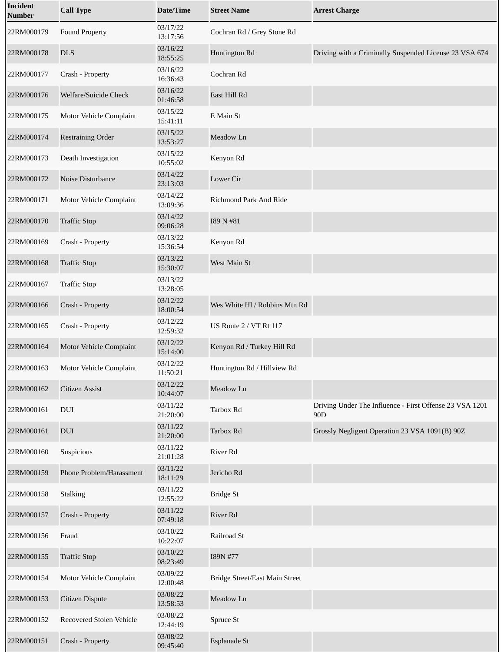| <b>Incident</b><br><b>Number</b> | <b>Call Type</b>         | <b>Date/Time</b>     | <b>Street Name</b>             | <b>Arrest Charge</b>                                                       |
|----------------------------------|--------------------------|----------------------|--------------------------------|----------------------------------------------------------------------------|
| 22RM000179                       | <b>Found Property</b>    | 03/17/22<br>13:17:56 | Cochran Rd / Grey Stone Rd     |                                                                            |
| 22RM000178                       | <b>DLS</b>               | 03/16/22<br>18:55:25 | Huntington Rd                  | Driving with a Criminally Suspended License 23 VSA 674                     |
| 22RM000177                       | Crash - Property         | 03/16/22<br>16:36:43 | Cochran Rd                     |                                                                            |
| 22RM000176                       | Welfare/Suicide Check    | 03/16/22<br>01:46:58 | East Hill Rd                   |                                                                            |
| 22RM000175                       | Motor Vehicle Complaint  | 03/15/22<br>15:41:11 | E Main St                      |                                                                            |
| 22RM000174                       | <b>Restraining Order</b> | 03/15/22<br>13:53:27 | Meadow Ln                      |                                                                            |
| 22RM000173                       | Death Investigation      | 03/15/22<br>10:55:02 | Kenyon Rd                      |                                                                            |
| 22RM000172                       | Noise Disturbance        | 03/14/22<br>23:13:03 | Lower Cir                      |                                                                            |
| 22RM000171                       | Motor Vehicle Complaint  | 03/14/22<br>13:09:36 | Richmond Park And Ride         |                                                                            |
| 22RM000170                       | <b>Traffic Stop</b>      | 03/14/22<br>09:06:28 | I89 N #81                      |                                                                            |
| 22RM000169                       | Crash - Property         | 03/13/22<br>15:36:54 | Kenyon Rd                      |                                                                            |
| 22RM000168                       | <b>Traffic Stop</b>      | 03/13/22<br>15:30:07 | West Main St                   |                                                                            |
| 22RM000167                       | <b>Traffic Stop</b>      | 03/13/22<br>13:28:05 |                                |                                                                            |
| 22RM000166                       | Crash - Property         | 03/12/22<br>18:00:54 | Wes White Hl / Robbins Mtn Rd  |                                                                            |
| 22RM000165                       | Crash - Property         | 03/12/22<br>12:59:32 | US Route 2 / VT Rt 117         |                                                                            |
| 22RM000164                       | Motor Vehicle Complaint  | 03/12/22<br>15:14:00 | Kenyon Rd / Turkey Hill Rd     |                                                                            |
| 22RM000163                       | Motor Vehicle Complaint  | 03/12/22<br>11:50:21 | Huntington Rd / Hillview Rd    |                                                                            |
| 22RM000162                       | Citizen Assist           | 03/12/22<br>10:44:07 | Meadow Ln                      |                                                                            |
| 22RM000161                       | $\rm DUI$                | 03/11/22<br>21:20:00 | Tarbox Rd                      | Driving Under The Influence - First Offense 23 VSA 1201<br>90 <sub>D</sub> |
| 22RM000161                       | $\rm DUI$                | 03/11/22<br>21:20:00 | Tarbox Rd                      | Grossly Negligent Operation 23 VSA 1091(B) 90Z                             |
| 22RM000160                       | Suspicious               | 03/11/22<br>21:01:28 | River Rd                       |                                                                            |
| 22RM000159                       | Phone Problem/Harassment | 03/11/22<br>18:11:29 | Jericho Rd                     |                                                                            |
| 22RM000158                       | <b>Stalking</b>          | 03/11/22<br>12:55:22 | <b>Bridge St</b>               |                                                                            |
| 22RM000157                       | Crash - Property         | 03/11/22<br>07:49:18 | River Rd                       |                                                                            |
| 22RM000156                       | Fraud                    | 03/10/22<br>10:22:07 | Railroad St                    |                                                                            |
| 22RM000155                       | <b>Traffic Stop</b>      | 03/10/22<br>08:23:49 | I89N #77                       |                                                                            |
| 22RM000154                       | Motor Vehicle Complaint  | 03/09/22<br>12:00:48 | Bridge Street/East Main Street |                                                                            |
| 22RM000153                       | Citizen Dispute          | 03/08/22<br>13:58:53 | Meadow Ln                      |                                                                            |
| 22RM000152                       | Recovered Stolen Vehicle | 03/08/22<br>12:44:19 | Spruce St                      |                                                                            |
| 22RM000151                       | Crash - Property         | 03/08/22<br>09:45:40 | Esplanade St                   |                                                                            |